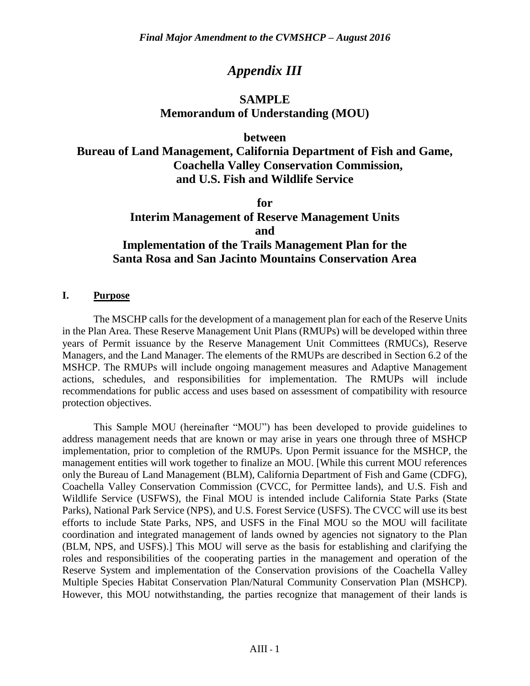# *Appendix III*

# **SAMPLE Memorandum of Understanding (MOU)**

#### **between**

# **Bureau of Land Management, California Department of Fish and Game, Coachella Valley Conservation Commission, and U.S. Fish and Wildlife Service**

**for Interim Management of Reserve Management Units and Implementation of the Trails Management Plan for the Santa Rosa and San Jacinto Mountains Conservation Area**

#### **I. Purpose**

The MSCHP calls for the development of a management plan for each of the Reserve Units in the Plan Area. These Reserve Management Unit Plans (RMUPs) will be developed within three years of Permit issuance by the Reserve Management Unit Committees (RMUCs), Reserve Managers, and the Land Manager. The elements of the RMUPs are described in Section 6.2 of the MSHCP. The RMUPs will include ongoing management measures and Adaptive Management actions, schedules, and responsibilities for implementation. The RMUPs will include recommendations for public access and uses based on assessment of compatibility with resource protection objectives.

This Sample MOU (hereinafter "MOU") has been developed to provide guidelines to address management needs that are known or may arise in years one through three of MSHCP implementation, prior to completion of the RMUPs. Upon Permit issuance for the MSHCP, the management entities will work together to finalize an MOU. [While this current MOU references only the Bureau of Land Management (BLM), California Department of Fish and Game (CDFG), Coachella Valley Conservation Commission (CVCC, for Permittee lands), and U.S. Fish and Wildlife Service (USFWS), the Final MOU is intended include California State Parks (State Parks), National Park Service (NPS), and U.S. Forest Service (USFS). The CVCC will use its best efforts to include State Parks, NPS, and USFS in the Final MOU so the MOU will facilitate coordination and integrated management of lands owned by agencies not signatory to the Plan (BLM, NPS, and USFS).] This MOU will serve as the basis for establishing and clarifying the roles and responsibilities of the cooperating parties in the management and operation of the Reserve System and implementation of the Conservation provisions of the Coachella Valley Multiple Species Habitat Conservation Plan/Natural Community Conservation Plan (MSHCP). However, this MOU notwithstanding, the parties recognize that management of their lands is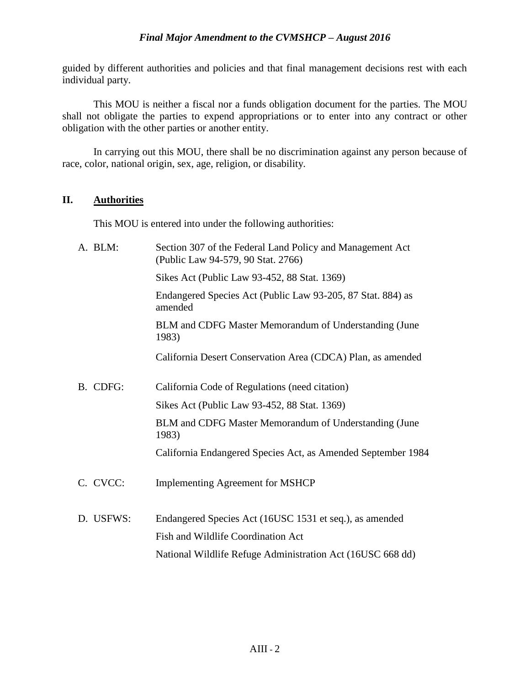guided by different authorities and policies and that final management decisions rest with each individual party.

This MOU is neither a fiscal nor a funds obligation document for the parties. The MOU shall not obligate the parties to expend appropriations or to enter into any contract or other obligation with the other parties or another entity.

In carrying out this MOU, there shall be no discrimination against any person because of race, color, national origin, sex, age, religion, or disability.

#### **II. Authorities**

This MOU is entered into under the following authorities:

| A. BLM:   | Section 307 of the Federal Land Policy and Management Act<br>(Public Law 94-579, 90 Stat. 2766) |
|-----------|-------------------------------------------------------------------------------------------------|
|           | Sikes Act (Public Law 93-452, 88 Stat. 1369)                                                    |
|           | Endangered Species Act (Public Law 93-205, 87 Stat. 884) as<br>amended                          |
|           | BLM and CDFG Master Memorandum of Understanding (June<br>1983)                                  |
|           | California Desert Conservation Area (CDCA) Plan, as amended                                     |
| B. CDFG:  | California Code of Regulations (need citation)                                                  |
|           | Sikes Act (Public Law 93-452, 88 Stat. 1369)                                                    |
|           | BLM and CDFG Master Memorandum of Understanding (June<br>1983)                                  |
|           | California Endangered Species Act, as Amended September 1984                                    |
| C. CVCC:  | <b>Implementing Agreement for MSHCP</b>                                                         |
| D. USFWS: | Endangered Species Act (16USC 1531 et seq.), as amended                                         |
|           | Fish and Wildlife Coordination Act                                                              |
|           | National Wildlife Refuge Administration Act (16USC 668 dd)                                      |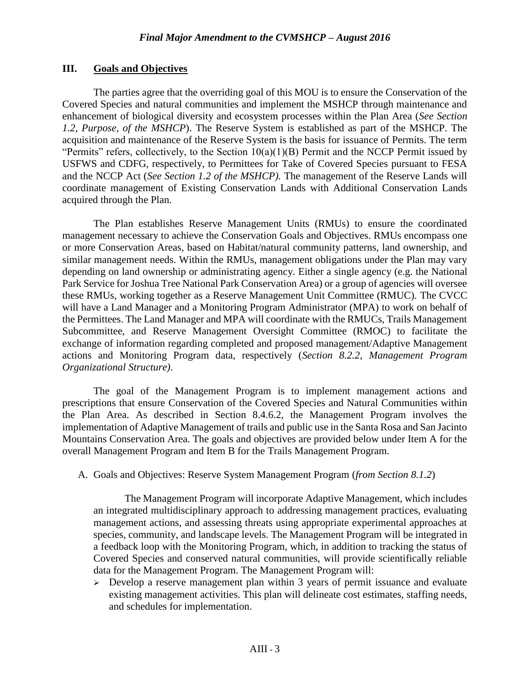#### **III. Goals and Objectives**

The parties agree that the overriding goal of this MOU is to ensure the Conservation of the Covered Species and natural communities and implement the MSHCP through maintenance and enhancement of biological diversity and ecosystem processes within the Plan Area (*See Section 1.2, Purpose, of the MSHCP*). The Reserve System is established as part of the MSHCP. The acquisition and maintenance of the Reserve System is the basis for issuance of Permits. The term "Permits" refers, collectively, to the Section  $10(a)(1)(B)$  Permit and the NCCP Permit issued by USFWS and CDFG, respectively, to Permittees for Take of Covered Species pursuant to FESA and the NCCP Act (*See Section 1.2 of the MSHCP).* The management of the Reserve Lands will coordinate management of Existing Conservation Lands with Additional Conservation Lands acquired through the Plan.

The Plan establishes Reserve Management Units (RMUs) to ensure the coordinated management necessary to achieve the Conservation Goals and Objectives. RMUs encompass one or more Conservation Areas, based on Habitat/natural community patterns, land ownership, and similar management needs. Within the RMUs, management obligations under the Plan may vary depending on land ownership or administrating agency. Either a single agency (e.g. the National Park Service for Joshua Tree National Park Conservation Area) or a group of agencies will oversee these RMUs, working together as a Reserve Management Unit Committee (RMUC)*.* The CVCC will have a Land Manager and a Monitoring Program Administrator (MPA) to work on behalf of the Permittees. The Land Manager and MPA will coordinate with the RMUCs, Trails Management Subcommittee, and Reserve Management Oversight Committee (RMOC) to facilitate the exchange of information regarding completed and proposed management/Adaptive Management actions and Monitoring Program data, respectively (*Section 8.2.2, Management Program Organizational Structure)*.

The goal of the Management Program is to implement management actions and prescriptions that ensure Conservation of the Covered Species and Natural Communities within the Plan Area. As described in Section 8.4.6.2, the Management Program involves the implementation of Adaptive Management of trails and public use in the Santa Rosa and San Jacinto Mountains Conservation Area. The goals and objectives are provided below under Item A for the overall Management Program and Item B for the Trails Management Program.

#### A. Goals and Objectives: Reserve System Management Program (*from Section 8.1.2*)

The Management Program will incorporate Adaptive Management, which includes an integrated multidisciplinary approach to addressing management practices, evaluating management actions, and assessing threats using appropriate experimental approaches at species, community, and landscape levels. The Management Program will be integrated in a feedback loop with the Monitoring Program, which, in addition to tracking the status of Covered Species and conserved natural communities, will provide scientifically reliable data for the Management Program. The Management Program will:

 $\geq$  Develop a reserve management plan within 3 years of permit issuance and evaluate existing management activities. This plan will delineate cost estimates, staffing needs, and schedules for implementation.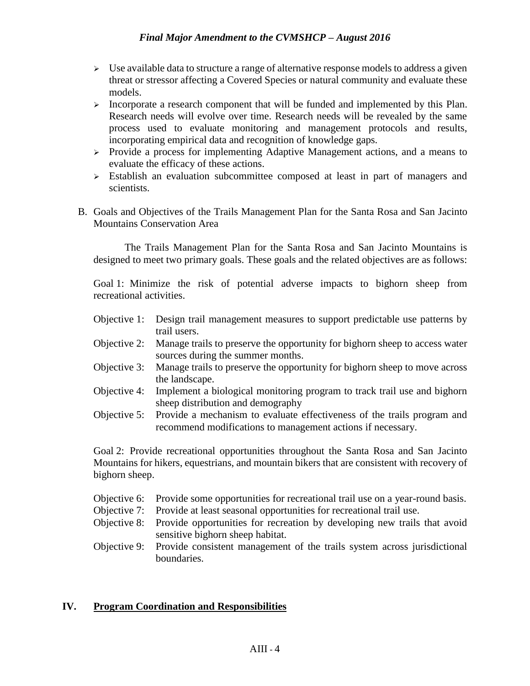- $\triangleright$  Use available data to structure a range of alternative response models to address a given threat or stressor affecting a Covered Species or natural community and evaluate these models.
- $\triangleright$  Incorporate a research component that will be funded and implemented by this Plan. Research needs will evolve over time. Research needs will be revealed by the same process used to evaluate monitoring and management protocols and results, incorporating empirical data and recognition of knowledge gaps.
- $\triangleright$  Provide a process for implementing Adaptive Management actions, and a means to evaluate the efficacy of these actions.
- Establish an evaluation subcommittee composed at least in part of managers and scientists.
- B. Goals and Objectives of the Trails Management Plan for the Santa Rosa and San Jacinto Mountains Conservation Area

The Trails Management Plan for the Santa Rosa and San Jacinto Mountains is designed to meet two primary goals. These goals and the related objectives are as follows:

Goal 1: Minimize the risk of potential adverse impacts to bighorn sheep from recreational activities.

- Objective 1: Design trail management measures to support predictable use patterns by trail users.
- Objective 2: Manage trails to preserve the opportunity for bighorn sheep to access water sources during the summer months.
- Objective 3: Manage trails to preserve the opportunity for bighorn sheep to move across the landscape.
- Objective 4: Implement a biological monitoring program to track trail use and bighorn sheep distribution and demography
- Objective 5: Provide a mechanism to evaluate effectiveness of the trails program and recommend modifications to management actions if necessary.

Goal 2: Provide recreational opportunities throughout the Santa Rosa and San Jacinto Mountains for hikers, equestrians, and mountain bikers that are consistent with recovery of bighorn sheep.

- Objective 6: Provide some opportunities for recreational trail use on a year-round basis.
- Objective 7: Provide at least seasonal opportunities for recreational trail use.
- Objective 8: Provide opportunities for recreation by developing new trails that avoid sensitive bighorn sheep habitat.
- Objective 9: Provide consistent management of the trails system across jurisdictional boundaries.

## **IV. Program Coordination and Responsibilities**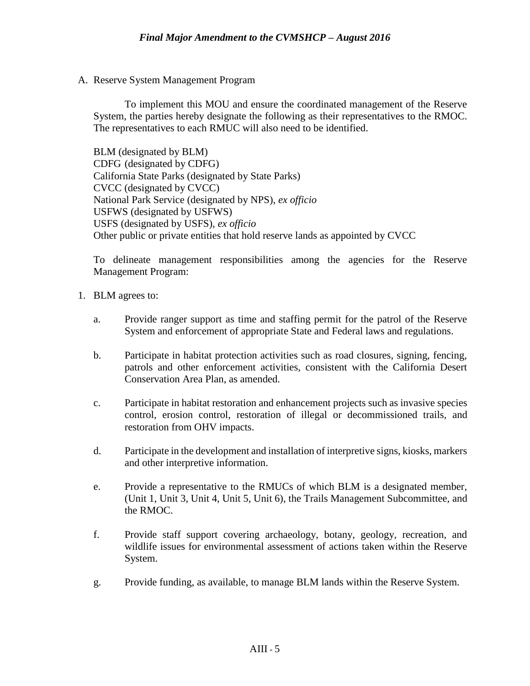A. Reserve System Management Program

To implement this MOU and ensure the coordinated management of the Reserve System, the parties hereby designate the following as their representatives to the RMOC. The representatives to each RMUC will also need to be identified.

BLM (designated by BLM) CDFG (designated by CDFG) California State Parks (designated by State Parks) CVCC (designated by CVCC) National Park Service (designated by NPS), *ex officio* USFWS (designated by USFWS) USFS (designated by USFS), *ex officio* Other public or private entities that hold reserve lands as appointed by CVCC

To delineate management responsibilities among the agencies for the Reserve Management Program:

- 1. BLM agrees to:
	- a. Provide ranger support as time and staffing permit for the patrol of the Reserve System and enforcement of appropriate State and Federal laws and regulations.
	- b. Participate in habitat protection activities such as road closures, signing, fencing, patrols and other enforcement activities, consistent with the California Desert Conservation Area Plan, as amended.
	- c. Participate in habitat restoration and enhancement projects such as invasive species control, erosion control, restoration of illegal or decommissioned trails, and restoration from OHV impacts.
	- d. Participate in the development and installation of interpretive signs, kiosks, markers and other interpretive information.
	- e. Provide a representative to the RMUCs of which BLM is a designated member, (Unit 1, Unit 3, Unit 4, Unit 5, Unit 6), the Trails Management Subcommittee, and the RMOC.
	- f. Provide staff support covering archaeology, botany, geology, recreation, and wildlife issues for environmental assessment of actions taken within the Reserve System.
	- g. Provide funding, as available, to manage BLM lands within the Reserve System.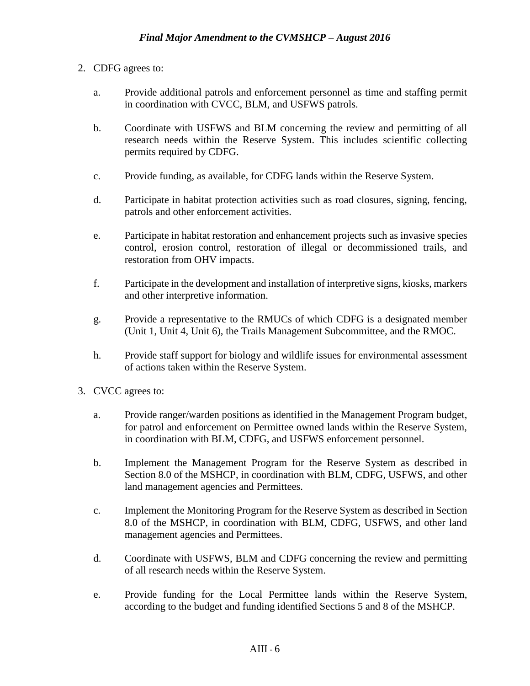- 2. CDFG agrees to:
	- a. Provide additional patrols and enforcement personnel as time and staffing permit in coordination with CVCC, BLM, and USFWS patrols.
	- b. Coordinate with USFWS and BLM concerning the review and permitting of all research needs within the Reserve System. This includes scientific collecting permits required by CDFG.
	- c. Provide funding, as available, for CDFG lands within the Reserve System.
	- d. Participate in habitat protection activities such as road closures, signing, fencing, patrols and other enforcement activities.
	- e. Participate in habitat restoration and enhancement projects such as invasive species control, erosion control, restoration of illegal or decommissioned trails, and restoration from OHV impacts.
	- f. Participate in the development and installation of interpretive signs, kiosks, markers and other interpretive information.
	- g. Provide a representative to the RMUCs of which CDFG is a designated member (Unit 1, Unit 4, Unit 6), the Trails Management Subcommittee, and the RMOC.
	- h. Provide staff support for biology and wildlife issues for environmental assessment of actions taken within the Reserve System.
- 3. CVCC agrees to:
	- a. Provide ranger/warden positions as identified in the Management Program budget, for patrol and enforcement on Permittee owned lands within the Reserve System, in coordination with BLM, CDFG, and USFWS enforcement personnel.
	- b. Implement the Management Program for the Reserve System as described in Section 8.0 of the MSHCP, in coordination with BLM, CDFG, USFWS, and other land management agencies and Permittees.
	- c. Implement the Monitoring Program for the Reserve System as described in Section 8.0 of the MSHCP, in coordination with BLM, CDFG, USFWS, and other land management agencies and Permittees.
	- d. Coordinate with USFWS, BLM and CDFG concerning the review and permitting of all research needs within the Reserve System.
	- e. Provide funding for the Local Permittee lands within the Reserve System, according to the budget and funding identified Sections 5 and 8 of the MSHCP.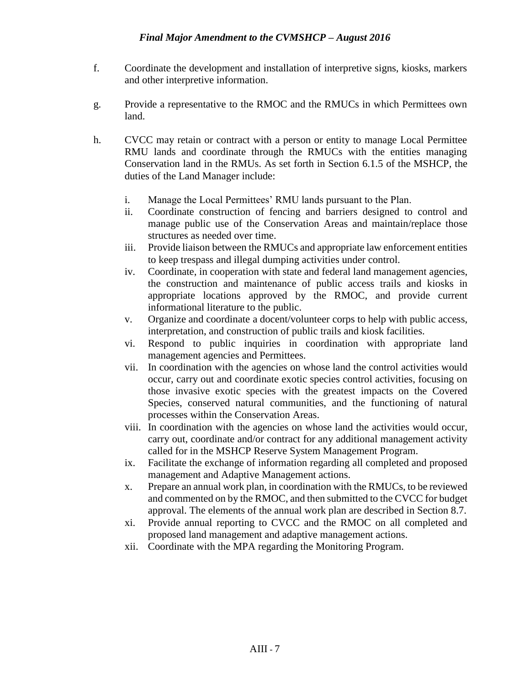- f. Coordinate the development and installation of interpretive signs, kiosks, markers and other interpretive information.
- g. Provide a representative to the RMOC and the RMUCs in which Permittees own land.
- h. CVCC may retain or contract with a person or entity to manage Local Permittee RMU lands and coordinate through the RMUCs with the entities managing Conservation land in the RMUs. As set forth in Section 6.1.5 of the MSHCP, the duties of the Land Manager include:
	- i. Manage the Local Permittees' RMU lands pursuant to the Plan.
	- ii. Coordinate construction of fencing and barriers designed to control and manage public use of the Conservation Areas and maintain/replace those structures as needed over time.
	- iii. Provide liaison between the RMUCs and appropriate law enforcement entities to keep trespass and illegal dumping activities under control.
	- iv. Coordinate, in cooperation with state and federal land management agencies, the construction and maintenance of public access trails and kiosks in appropriate locations approved by the RMOC, and provide current informational literature to the public.
	- v. Organize and coordinate a docent/volunteer corps to help with public access, interpretation, and construction of public trails and kiosk facilities.
	- vi. Respond to public inquiries in coordination with appropriate land management agencies and Permittees.
	- vii. In coordination with the agencies on whose land the control activities would occur, carry out and coordinate exotic species control activities, focusing on those invasive exotic species with the greatest impacts on the Covered Species, conserved natural communities, and the functioning of natural processes within the Conservation Areas.
	- viii. In coordination with the agencies on whose land the activities would occur, carry out, coordinate and/or contract for any additional management activity called for in the MSHCP Reserve System Management Program.
	- ix. Facilitate the exchange of information regarding all completed and proposed management and Adaptive Management actions.
	- x. Prepare an annual work plan, in coordination with the RMUCs, to be reviewed and commented on by the RMOC, and then submitted to the CVCC for budget approval. The elements of the annual work plan are described in Section 8.7.
	- xi. Provide annual reporting to CVCC and the RMOC on all completed and proposed land management and adaptive management actions.
	- xii. Coordinate with the MPA regarding the Monitoring Program.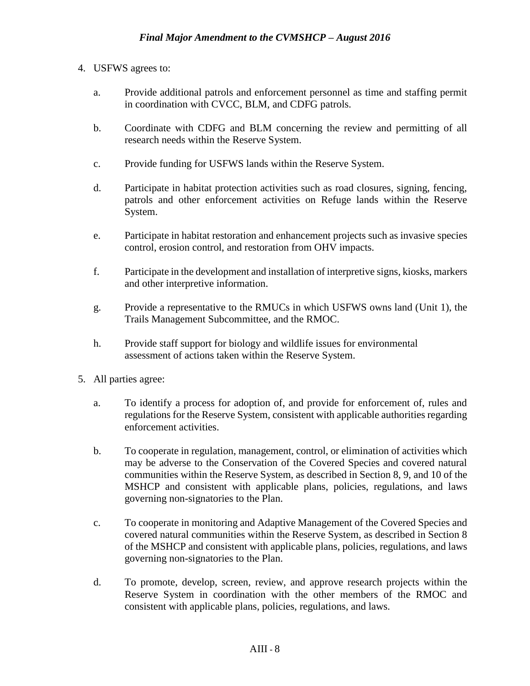### 4. USFWS agrees to:

- a. Provide additional patrols and enforcement personnel as time and staffing permit in coordination with CVCC, BLM, and CDFG patrols.
- b. Coordinate with CDFG and BLM concerning the review and permitting of all research needs within the Reserve System.
- c. Provide funding for USFWS lands within the Reserve System.
- d. Participate in habitat protection activities such as road closures, signing, fencing, patrols and other enforcement activities on Refuge lands within the Reserve System.
- e. Participate in habitat restoration and enhancement projects such as invasive species control, erosion control, and restoration from OHV impacts.
- f. Participate in the development and installation of interpretive signs, kiosks, markers and other interpretive information.
- g. Provide a representative to the RMUCs in which USFWS owns land (Unit 1), the Trails Management Subcommittee, and the RMOC.
- h. Provide staff support for biology and wildlife issues for environmental assessment of actions taken within the Reserve System.
- 5. All parties agree:
	- a. To identify a process for adoption of, and provide for enforcement of, rules and regulations for the Reserve System, consistent with applicable authorities regarding enforcement activities.
	- b. To cooperate in regulation, management, control, or elimination of activities which may be adverse to the Conservation of the Covered Species and covered natural communities within the Reserve System, as described in Section 8, 9, and 10 of the MSHCP and consistent with applicable plans, policies, regulations, and laws governing non-signatories to the Plan.
	- c. To cooperate in monitoring and Adaptive Management of the Covered Species and covered natural communities within the Reserve System, as described in Section 8 of the MSHCP and consistent with applicable plans, policies, regulations, and laws governing non-signatories to the Plan.
	- d. To promote, develop, screen, review, and approve research projects within the Reserve System in coordination with the other members of the RMOC and consistent with applicable plans, policies, regulations, and laws.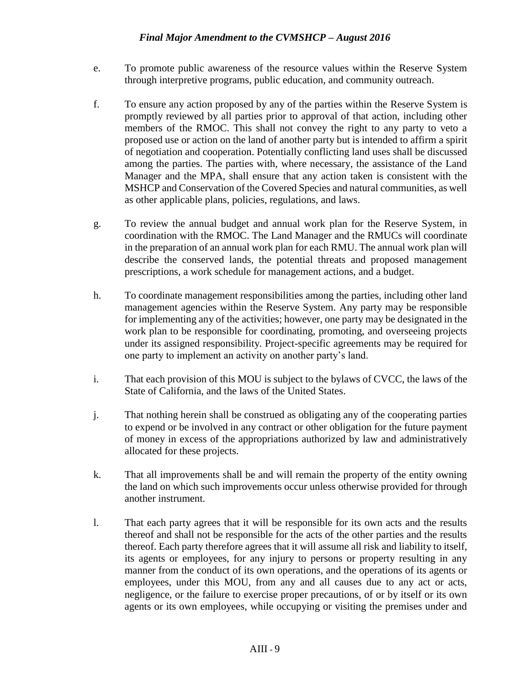- e. To promote public awareness of the resource values within the Reserve System through interpretive programs, public education, and community outreach.
- f. To ensure any action proposed by any of the parties within the Reserve System is promptly reviewed by all parties prior to approval of that action, including other members of the RMOC. This shall not convey the right to any party to veto a proposed use or action on the land of another party but is intended to affirm a spirit of negotiation and cooperation. Potentially conflicting land uses shall be discussed among the parties. The parties with, where necessary, the assistance of the Land Manager and the MPA, shall ensure that any action taken is consistent with the MSHCP and Conservation of the Covered Species and natural communities, as well as other applicable plans, policies, regulations, and laws.
- g. To review the annual budget and annual work plan for the Reserve System, in coordination with the RMOC. The Land Manager and the RMUCs will coordinate in the preparation of an annual work plan for each RMU. The annual work plan will describe the conserved lands, the potential threats and proposed management prescriptions, a work schedule for management actions, and a budget.
- h. To coordinate management responsibilities among the parties, including other land management agencies within the Reserve System. Any party may be responsible for implementing any of the activities; however, one party may be designated in the work plan to be responsible for coordinating, promoting, and overseeing projects under its assigned responsibility. Project-specific agreements may be required for one party to implement an activity on another party's land.
- i. That each provision of this MOU is subject to the bylaws of CVCC, the laws of the State of California, and the laws of the United States.
- j. That nothing herein shall be construed as obligating any of the cooperating parties to expend or be involved in any contract or other obligation for the future payment of money in excess of the appropriations authorized by law and administratively allocated for these projects.
- k. That all improvements shall be and will remain the property of the entity owning the land on which such improvements occur unless otherwise provided for through another instrument.
- l. That each party agrees that it will be responsible for its own acts and the results thereof and shall not be responsible for the acts of the other parties and the results thereof. Each party therefore agrees that it will assume all risk and liability to itself, its agents or employees, for any injury to persons or property resulting in any manner from the conduct of its own operations, and the operations of its agents or employees, under this MOU, from any and all causes due to any act or acts, negligence, or the failure to exercise proper precautions, of or by itself or its own agents or its own employees, while occupying or visiting the premises under and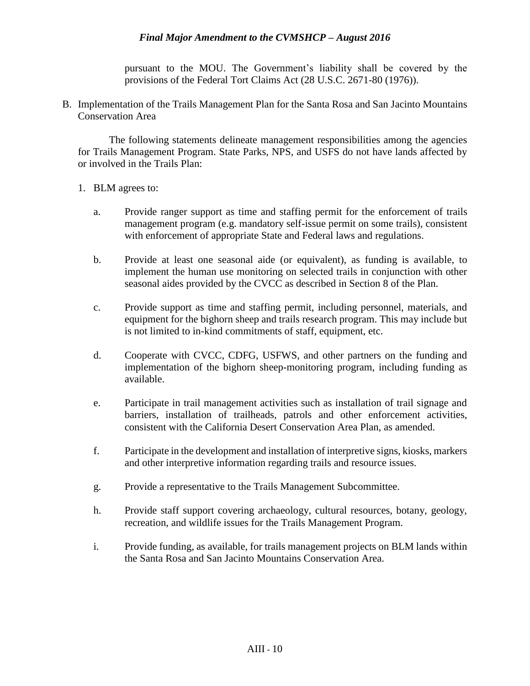pursuant to the MOU. The Government's liability shall be covered by the provisions of the Federal Tort Claims Act (28 U.S.C. 2671-80 (1976)).

B. Implementation of the Trails Management Plan for the Santa Rosa and San Jacinto Mountains Conservation Area

The following statements delineate management responsibilities among the agencies for Trails Management Program. State Parks, NPS, and USFS do not have lands affected by or involved in the Trails Plan:

- 1. BLM agrees to:
	- a. Provide ranger support as time and staffing permit for the enforcement of trails management program (e.g. mandatory self-issue permit on some trails), consistent with enforcement of appropriate State and Federal laws and regulations.
	- b. Provide at least one seasonal aide (or equivalent), as funding is available, to implement the human use monitoring on selected trails in conjunction with other seasonal aides provided by the CVCC as described in Section 8 of the Plan.
	- c. Provide support as time and staffing permit, including personnel, materials, and equipment for the bighorn sheep and trails research program. This may include but is not limited to in-kind commitments of staff, equipment, etc.
	- d. Cooperate with CVCC, CDFG, USFWS, and other partners on the funding and implementation of the bighorn sheep-monitoring program, including funding as available.
	- e. Participate in trail management activities such as installation of trail signage and barriers, installation of trailheads, patrols and other enforcement activities, consistent with the California Desert Conservation Area Plan, as amended.
	- f. Participate in the development and installation of interpretive signs, kiosks, markers and other interpretive information regarding trails and resource issues.
	- g. Provide a representative to the Trails Management Subcommittee.
	- h. Provide staff support covering archaeology, cultural resources, botany, geology, recreation, and wildlife issues for the Trails Management Program.
	- i. Provide funding, as available, for trails management projects on BLM lands within the Santa Rosa and San Jacinto Mountains Conservation Area.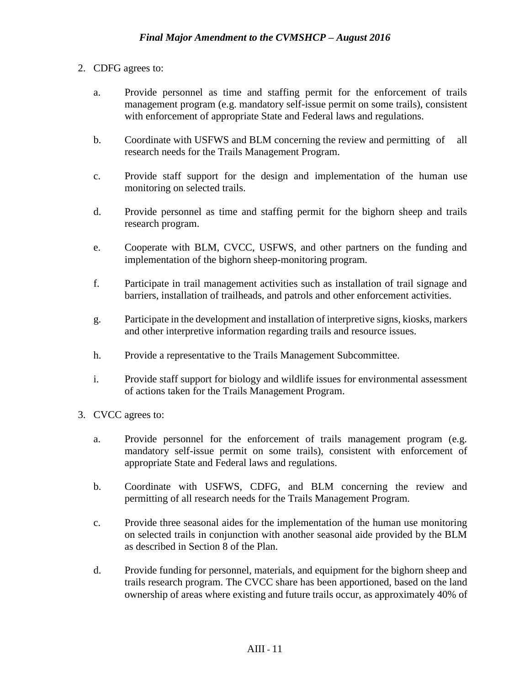- 2. CDFG agrees to:
	- a. Provide personnel as time and staffing permit for the enforcement of trails management program (e.g. mandatory self-issue permit on some trails), consistent with enforcement of appropriate State and Federal laws and regulations.
	- b. Coordinate with USFWS and BLM concerning the review and permitting of all research needs for the Trails Management Program.
	- c. Provide staff support for the design and implementation of the human use monitoring on selected trails.
	- d. Provide personnel as time and staffing permit for the bighorn sheep and trails research program.
	- e. Cooperate with BLM, CVCC, USFWS, and other partners on the funding and implementation of the bighorn sheep-monitoring program.
	- f. Participate in trail management activities such as installation of trail signage and barriers, installation of trailheads, and patrols and other enforcement activities.
	- g. Participate in the development and installation of interpretive signs, kiosks, markers and other interpretive information regarding trails and resource issues.
	- h. Provide a representative to the Trails Management Subcommittee.
	- i. Provide staff support for biology and wildlife issues for environmental assessment of actions taken for the Trails Management Program.
- 3. CVCC agrees to:
	- a. Provide personnel for the enforcement of trails management program (e.g. mandatory self-issue permit on some trails), consistent with enforcement of appropriate State and Federal laws and regulations.
	- b. Coordinate with USFWS, CDFG, and BLM concerning the review and permitting of all research needs for the Trails Management Program.
	- c. Provide three seasonal aides for the implementation of the human use monitoring on selected trails in conjunction with another seasonal aide provided by the BLM as described in Section 8 of the Plan.
	- d. Provide funding for personnel, materials, and equipment for the bighorn sheep and trails research program. The CVCC share has been apportioned, based on the land ownership of areas where existing and future trails occur, as approximately 40% of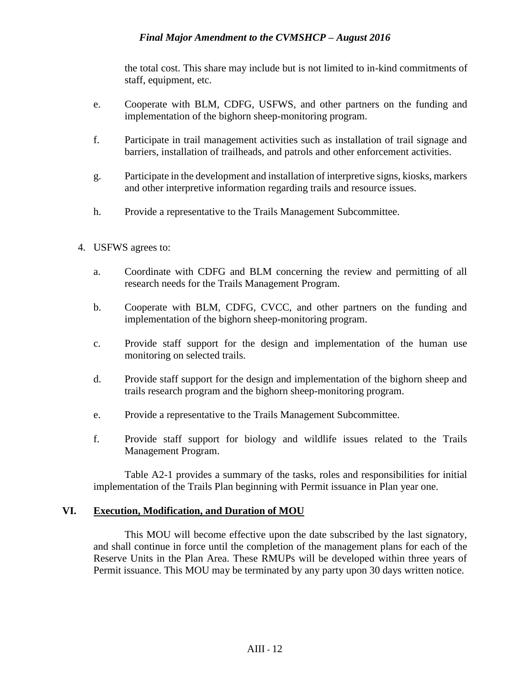the total cost. This share may include but is not limited to in-kind commitments of staff, equipment, etc.

- e. Cooperate with BLM, CDFG, USFWS, and other partners on the funding and implementation of the bighorn sheep-monitoring program.
- f. Participate in trail management activities such as installation of trail signage and barriers, installation of trailheads, and patrols and other enforcement activities.
- g. Participate in the development and installation of interpretive signs, kiosks, markers and other interpretive information regarding trails and resource issues.
- h. Provide a representative to the Trails Management Subcommittee.
- 4. USFWS agrees to:
	- a. Coordinate with CDFG and BLM concerning the review and permitting of all research needs for the Trails Management Program.
	- b. Cooperate with BLM, CDFG, CVCC, and other partners on the funding and implementation of the bighorn sheep-monitoring program.
	- c. Provide staff support for the design and implementation of the human use monitoring on selected trails.
	- d. Provide staff support for the design and implementation of the bighorn sheep and trails research program and the bighorn sheep-monitoring program.
	- e. Provide a representative to the Trails Management Subcommittee.
	- f. Provide staff support for biology and wildlife issues related to the Trails Management Program.

Table A2-1 provides a summary of the tasks, roles and responsibilities for initial implementation of the Trails Plan beginning with Permit issuance in Plan year one.

#### **VI. Execution, Modification, and Duration of MOU**

This MOU will become effective upon the date subscribed by the last signatory, and shall continue in force until the completion of the management plans for each of the Reserve Units in the Plan Area. These RMUPs will be developed within three years of Permit issuance. This MOU may be terminated by any party upon 30 days written notice.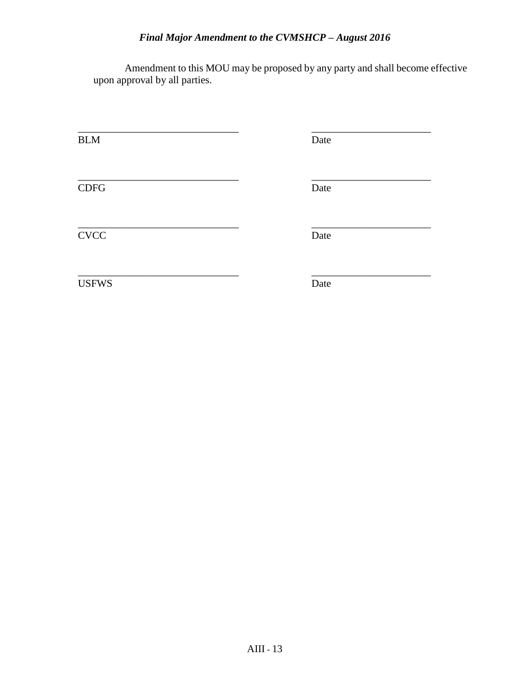Amendment to this MOU may be proposed by any party and shall become effective upon approval by all parties.

| <b>BLM</b>   | Date |
|--------------|------|
| CDFG         | Date |
| <b>CVCC</b>  | Date |
| <b>USFWS</b> | Date |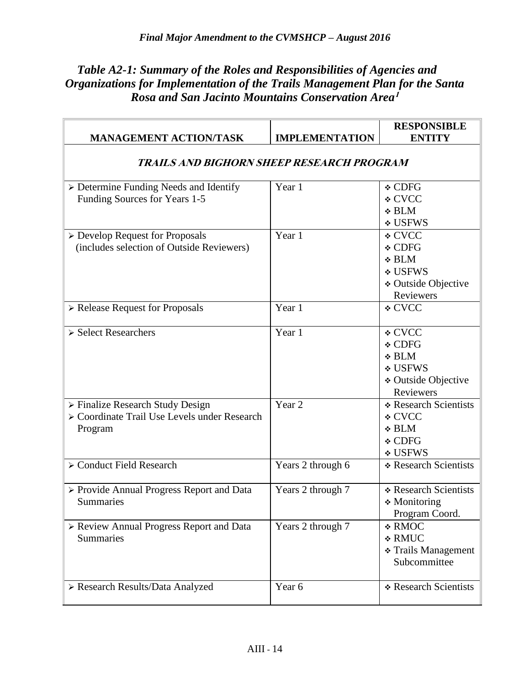# *Table A2-1: Summary of the Roles and Responsibilities of Agencies and Organizations for Implementation of the Trails Management Plan for the Santa Rosa and San Jacinto Mountains Conservation Area***<sup>1</sup>**

|                                                                                             |                       | <b>RESPONSIBLE</b>                                                              |  |
|---------------------------------------------------------------------------------------------|-----------------------|---------------------------------------------------------------------------------|--|
| <b>MANAGEMENT ACTION/TASK</b>                                                               | <b>IMPLEMENTATION</b> | <b>ENTITY</b>                                                                   |  |
| TRAILS AND BIGHORN SHEEP RESEARCH PROGRAM                                                   |                       |                                                                                 |  |
| $\triangleright$ Determine Funding Needs and Identify<br>Funding Sources for Years 1-5      | Year 1                | ❖ CDFG<br>∻ CVCC<br>$\div$ BLM<br><b>∻ USFWS</b>                                |  |
| > Develop Request for Proposals<br>(includes selection of Outside Reviewers)                | Year 1                | <b>∻ CVCC</b><br>❖ CDFG<br>❖ BLM<br>❖ USFWS<br>❖ Outside Objective<br>Reviewers |  |
| > Release Request for Proposals                                                             | Year 1                | <b>∻ CVCC</b>                                                                   |  |
| > Select Researchers                                                                        | Year 1                | ∻ CVCC<br>❖ CDFG<br>$\div$ BLM<br>❖ USFWS<br>❖ Outside Objective<br>Reviewers   |  |
| > Finalize Research Study Design<br>> Coordinate Trail Use Levels under Research<br>Program | Year 2                | * Research Scientists<br>∻ CVCC<br>$\div$ BLM<br>❖ CDFG<br>❖ USFWS              |  |
| > Conduct Field Research                                                                    | Years 2 through 6     | * Research Scientists                                                           |  |
| > Provide Annual Progress Report and Data<br><b>Summaries</b>                               | Years 2 through 7     | * Research Scientists<br>$\triangleleft$ Monitoring<br>Program Coord.           |  |
| > Review Annual Progress Report and Data<br>Summaries                                       | Years 2 through 7     | * RMOC<br><b>∻ RMUC</b><br>❖ Trails Management<br>Subcommittee                  |  |
| > Research Results/Data Analyzed                                                            | Year 6                | * Research Scientists                                                           |  |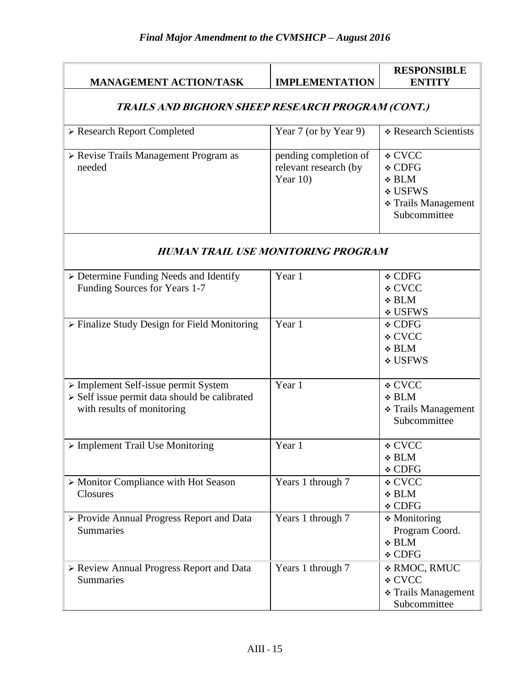| <b>MANAGEMENT ACTION/TASK</b>                                                                                       | <b>IMPLEMENTATION</b>                                         | <b>RESPONSIBLE</b><br><b>ENTITY</b>                                              |  |
|---------------------------------------------------------------------------------------------------------------------|---------------------------------------------------------------|----------------------------------------------------------------------------------|--|
| TRAILS AND BIGHORN SHEEP RESEARCH PROGRAM (CONT.)                                                                   |                                                               |                                                                                  |  |
| > Research Report Completed                                                                                         | Year 7 (or by Year 9)                                         | * Research Scientists                                                            |  |
| > Revise Trails Management Program as<br>needed                                                                     | pending completion of<br>relevant research (by<br>Year $10$ ) | ∻ CVCC<br>❖ CDFG<br>$\div$ BLM<br>❖ USFWS<br>❖ Trails Management<br>Subcommittee |  |
| <b>HUMAN TRAIL USE MONITORING PROGRAM</b>                                                                           |                                                               |                                                                                  |  |
| > Determine Funding Needs and Identify<br>Funding Sources for Years 1-7                                             | Year 1                                                        | $\div$ CDFG<br>∻ CVCC<br>$\div$ BLM<br><b>∻ USFWS</b>                            |  |
| > Finalize Study Design for Field Monitoring                                                                        | Year 1                                                        | ❖ CDFG<br><b>∻ CVCC</b><br>$\div$ BLM<br><b>∻ USFWS</b>                          |  |
| > Implement Self-issue permit System<br>> Self issue permit data should be calibrated<br>with results of monitoring | Year 1                                                        | ❖ CVCC<br>$\div$ BLM<br>❖ Trails Management<br>Subcommittee                      |  |
| $\triangleright$ Implement Trail Use Monitoring                                                                     | Year 1                                                        | ❖ CVCC<br>$\div$ BLM<br>❖ CDFG                                                   |  |
| > Monitor Compliance with Hot Season<br>Closures                                                                    | Years 1 through 7                                             | ❖ CVCC<br>$\div$ BLM<br>❖ CDFG                                                   |  |
| > Provide Annual Progress Report and Data<br>Summaries                                                              | Years 1 through 7                                             | $\div$ Monitoring<br>Program Coord.<br>$\div$ BLM<br>❖ CDFG                      |  |
| > Review Annual Progress Report and Data<br>Summaries                                                               | Years 1 through 7                                             | * RMOC, RMUC<br>∻ CVCC<br>❖ Trails Management<br>Subcommittee                    |  |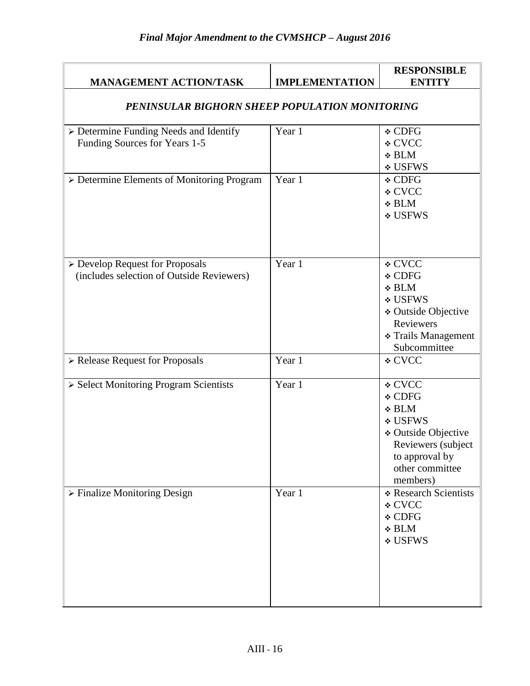| <b>MANAGEMENT ACTION/TASK</b>                                                                                         | <b>IMPLEMENTATION</b> | <b>RESPONSIBLE</b><br><b>ENTITY</b>                                                                                                                          |
|-----------------------------------------------------------------------------------------------------------------------|-----------------------|--------------------------------------------------------------------------------------------------------------------------------------------------------------|
| PENINSULAR BIGHORN SHEEP POPULATION MONITORING                                                                        |                       |                                                                                                                                                              |
| > Determine Funding Needs and Identify<br>Funding Sources for Years 1-5<br>> Determine Elements of Monitoring Program | Year 1<br>Year 1      | ❖ CDFG<br><b>∻ CVCC</b><br>$\div$ BLM<br>∻ USFWS<br>❖ CDFG<br><b>∻ CVCC</b><br>$\div$ BLM<br><b>∻ USFWS</b>                                                  |
| > Develop Request for Proposals<br>(includes selection of Outside Reviewers)                                          | Year 1                | <b>∻ CVCC</b><br><b>∻ CDFG</b><br><b>∻ BLM</b><br><b>∻ USFWS</b><br><b>* Outside Objective</b><br>Reviewers<br><b>* Trails Management</b><br>Subcommittee    |
| > Release Request for Proposals                                                                                       | Year 1                | ❖ CVCC                                                                                                                                                       |
| > Select Monitoring Program Scientists                                                                                | Year 1                | ∻ CVCC<br><b>∻ CDFG</b><br>$\div$ BLM<br><b>∻ USFWS</b><br><b>∻ Outside Objective</b><br>Reviewers (subject<br>to approval by<br>other committee<br>members) |
| $\triangleright$ Finalize Monitoring Design                                                                           | Year 1                | * Research Scientists<br><b>∻ CVCC</b><br>❖ CDFG<br>$\div$ BLM<br><b>∻ USFWS</b>                                                                             |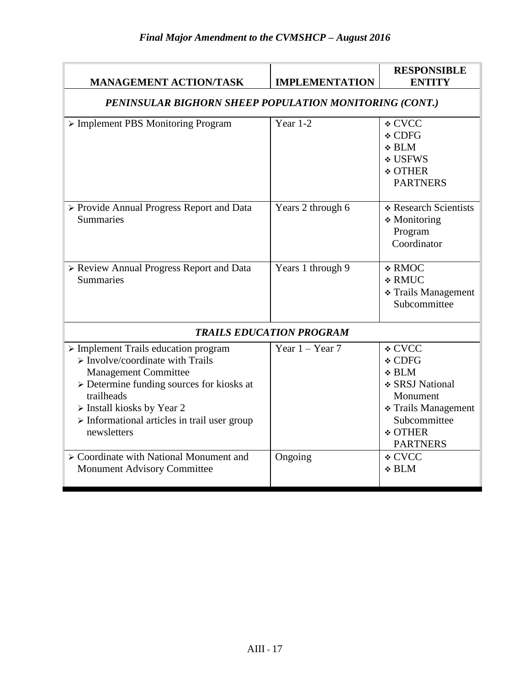| <b>MANAGEMENT ACTION/TASK</b>                                                                                                                                                                                                                                                                                                              | <b>IMPLEMENTATION</b> | <b>RESPONSIBLE</b><br><b>ENTITY</b>                                                                                                            |  |
|--------------------------------------------------------------------------------------------------------------------------------------------------------------------------------------------------------------------------------------------------------------------------------------------------------------------------------------------|-----------------------|------------------------------------------------------------------------------------------------------------------------------------------------|--|
| PENINSULAR BIGHORN SHEEP POPULATION MONITORING (CONT.)                                                                                                                                                                                                                                                                                     |                       |                                                                                                                                                |  |
| > Implement PBS Monitoring Program                                                                                                                                                                                                                                                                                                         | Year $1-2$            | <b>∻ CVCC</b><br>❖ CDFG<br>$\div$ BLM<br><b>∻ USFWS</b><br><b>❖ OTHER</b><br><b>PARTNERS</b>                                                   |  |
| > Provide Annual Progress Report and Data<br><b>Summaries</b>                                                                                                                                                                                                                                                                              | Years 2 through 6     | * Research Scientists<br>* Monitoring<br>Program<br>Coordinator                                                                                |  |
| > Review Annual Progress Report and Data<br><b>Summaries</b>                                                                                                                                                                                                                                                                               | Years 1 through 9     | <b>∻ RMOC</b><br><b>∻ RMUC</b><br>* Trails Management<br>Subcommittee                                                                          |  |
| <b>TRAILS EDUCATION PROGRAM</b>                                                                                                                                                                                                                                                                                                            |                       |                                                                                                                                                |  |
| $\triangleright$ Implement Trails education program<br>$\triangleright$ Involve/coordinate with Trails<br><b>Management Committee</b><br>$\triangleright$ Determine funding sources for kiosks at<br>trailheads<br>$\triangleright$ Install kiosks by Year 2<br>$\triangleright$ Informational articles in trail user group<br>newsletters | Year $1 -$ Year 7     | ∻ CVCC<br>$\div$ CDFG<br>$\div$ BLM<br>❖ SRSJ National<br>Monument<br>❖ Trails Management<br>Subcommittee<br><b>❖ OTHER</b><br><b>PARTNERS</b> |  |
| > Coordinate with National Monument and<br><b>Monument Advisory Committee</b>                                                                                                                                                                                                                                                              | Ongoing               | <b>∻ CVCC</b><br><b>∻ BLM</b>                                                                                                                  |  |